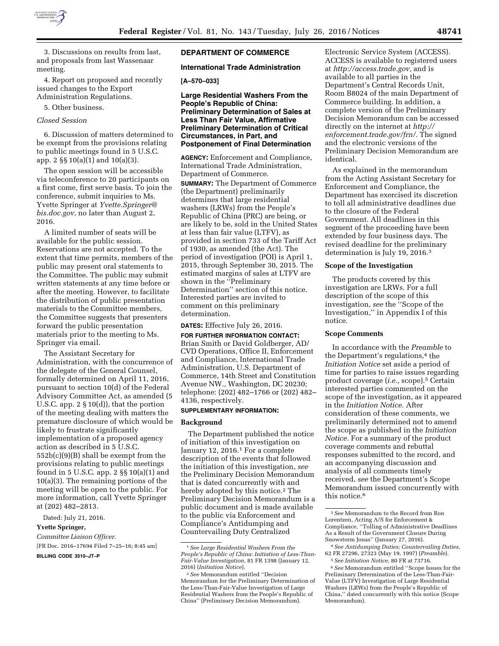

3. Discussions on results from last, and proposals from last Wassenaar meeting.

4. Report on proposed and recently issued changes to the Export Administration Regulations.

5. Other business.

# *Closed Session*

6. Discussion of matters determined to be exempt from the provisions relating to public meetings found in 5 U.S.C. app. 2 §§ 10(a)(1) and 10(a)(3).

The open session will be accessible via teleconference to 20 participants on a first come, first serve basis. To join the conference, submit inquiries to Ms. Yvette Springer at *[Yvette.Springer@](mailto:Yvette.Springer@bis.doc.gov) [bis.doc.gov,](mailto:Yvette.Springer@bis.doc.gov)* no later than August 2, 2016.

A limited number of seats will be available for the public session. Reservations are not accepted. To the extent that time permits, members of the public may present oral statements to the Committee. The public may submit written statements at any time before or after the meeting. However, to facilitate the distribution of public presentation materials to the Committee members, the Committee suggests that presenters forward the public presentation materials prior to the meeting to Ms. Springer via email.

The Assistant Secretary for Administration, with the concurrence of the delegate of the General Counsel, formally determined on April 11, 2016, pursuant to section 10(d) of the Federal Advisory Committee Act, as amended (5 U.S.C. app.  $2 \S 10(d)$ , that the portion of the meeting dealing with matters the premature disclosure of which would be likely to frustrate significantly implementation of a proposed agency action as described in 5 U.S.C. 552b(c)(9)(B) shall be exempt from the provisions relating to public meetings found in 5 U.S.C. app. 2 §§ 10(a)(1) and 10(a)(3). The remaining portions of the meeting will be open to the public. For more information, call Yvette Springer at (202) 482–2813.

Dated: July 21, 2016.

### **Yvette Springer,**

*Committee Liaison Officer.*  [FR Doc. 2016–17694 Filed 7–25–16; 8:45 am]

**BILLING CODE 3510–JT–P** 

# **DEPARTMENT OF COMMERCE**

## **International Trade Administration**

# **[A–570–033]**

**Large Residential Washers From the People's Republic of China: Preliminary Determination of Sales at Less Than Fair Value, Affirmative Preliminary Determination of Critical Circumstances, in Part, and Postponement of Final Determination** 

**AGENCY:** Enforcement and Compliance, International Trade Administration, Department of Commerce.

**SUMMARY:** The Department of Commerce (the Department) preliminarily determines that large residential washers (LRWs) from the People's Republic of China (PRC) are being, or are likely to be, sold in the United States at less than fair value (LTFV), as provided in section 733 of the Tariff Act of 1930, as amended (the Act). The period of investigation (POI) is April 1, 2015, through September 30, 2015. The estimated margins of sales at LTFV are shown in the ''Preliminary Determination'' section of this notice. Interested parties are invited to comment on this preliminary determination.

#### **DATES:** Effective July 26, 2016.

# **FOR FURTHER INFORMATION CONTACT:**

Brian Smith or David Goldberger, AD/ CVD Operations, Office II, Enforcement and Compliance, International Trade Administration, U.S. Department of Commerce, 14th Street and Constitution Avenue NW., Washington, DC 20230; telephone: (202) 482–1766 or (202) 482– 4136, respectively.

### **SUPPLEMENTARY INFORMATION:**

#### **Background**

The Department published the notice of initiation of this investigation on January 12, 2016.<sup>1</sup> For a complete description of the events that followed the initiation of this investigation, *see*  the Preliminary Decision Memorandum that is dated concurrently with and hereby adopted by this notice.<sup>2</sup> The Preliminary Decision Memorandum is a public document and is made available to the public via Enforcement and Compliance's Antidumping and Countervailing Duty Centralized

Electronic Service System (ACCESS). ACCESS is available to registered users at *[http://access.trade.gov,](http://access.trade.gov)* and is available to all parties in the Department's Central Records Unit, Room B8024 of the main Department of Commerce building. In addition, a complete version of the Preliminary Decision Memorandum can be accessed directly on the internet at *[http://](http://enforcement.trade.gov/frn/) [enforcement.trade.gov/frn/.](http://enforcement.trade.gov/frn/)* The signed and the electronic versions of the Preliminary Decision Memorandum are identical.

As explained in the memorandum from the Acting Assistant Secretary for Enforcement and Compliance, the Department has exercised its discretion to toll all administrative deadlines due to the closure of the Federal Government. All deadlines in this segment of the proceeding have been extended by four business days. The revised deadline for the preliminary determination is July 19, 2016.3

#### **Scope of the Investigation**

The products covered by this investigation are LRWs. For a full description of the scope of this investigation, *see* the ''Scope of the Investigation,'' in Appendix I of this notice.

### **Scope Comments**

In accordance with the *Preamble* to the Department's regulations,<sup>4</sup> the *Initiation Notice* set aside a period of time for parties to raise issues regarding product coverage (*i.e.,* scope).5 Certain interested parties commented on the scope of the investigation, as it appeared in the *Initiation Notice.* After consideration of these comments, we preliminarily determined not to amend the scope as published in the *Initiation Notice.* For a summary of the product coverage comments and rebuttal responses submitted to the record, and an accompanying discussion and analysis of all comments timely received, *see* the Department's Scope Memorandum issued concurrently with this notice.6

<sup>1</sup>*See Large Residential Washers From the People's Republic of China: Initiation of Less-Than-Fair-Value Investigation,* 81 FR 1398 (January 12, 2016) (*Initiation Notice*).

<sup>2</sup>*See* Memorandum entitled ''Decision Memorandum for the Preliminary Determination of the Less-Than-Fair-Value Investigation of Large Residential Washers from the People's Republic of China'' (Preliminary Decision Memorandum).

<sup>3</sup>*See* Memorandum to the Record from Ron Lorentzen, Acting A/S for Enforcement & Compliance, ''Tolling of Administrative Deadlines As a Result of the Government Closure During Snowstorm Jonas'' (January 27, 2016).

<sup>4</sup>*See Antidumping Duties; Countervailing Duties,*  62 FR 27296, 27323 (May 19, 1997) (*Preamble*).

<sup>5</sup>*See Initiation Notice,* 80 FR at 73716. 6*See* Memorandum entitled ''Scope Issues for the Preliminary Determination of the Less-Than-Fair-Value (LTFV) Investigation of Large Residential

Washers (LRWs) from the People's Republic of China,'' dated concurrently with this notice (Scope Memorandum).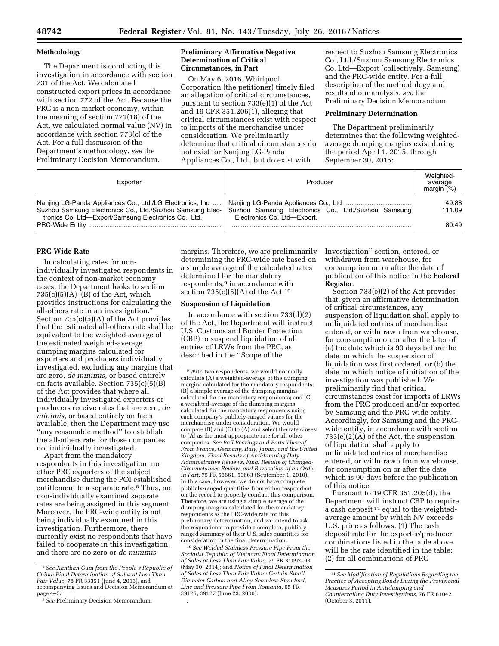### **Methodology**

The Department is conducting this investigation in accordance with section 731 of the Act. We calculated constructed export prices in accordance with section 772 of the Act. Because the PRC is a non-market economy, within the meaning of section 771(18) of the Act, we calculated normal value (NV) in accordance with section 773(c) of the Act. For a full discussion of the Department's methodology, *see* the Preliminary Decision Memorandum.

## **Preliminary Affirmative Negative Determination of Critical Circumstances, in Part**

On May 6, 2016, Whirlpool Corporation (the petitioner) timely filed an allegation of critical circumstances, pursuant to section 733(e)(1) of the Act and 19 CFR 351.206(1), alleging that critical circumstances exist with respect to imports of the merchandise under consideration. We preliminarily determine that critical circumstances do not exist for Nanjing LG-Panda Appliances Co., Ltd., but do exist with

respect to Suzhou Samsung Electronics Co., Ltd./Suzhou Samsung Electronics Co. Ltd—Export (collectively, Samsung) and the PRC-wide entity. For a full description of the methodology and results of our analysis, *see* the Preliminary Decision Memorandum.

### **Preliminary Determination**

The Department preliminarily determines that the following weightedaverage dumping margins exist during the period April 1, 2015, through September 30, 2015:

| Exporter                                                                                                          | Producer                                                                           | Weighted-<br>average<br>margin $(\%)$ |
|-------------------------------------------------------------------------------------------------------------------|------------------------------------------------------------------------------------|---------------------------------------|
| Nanjing LG-Panda Appliances Co., Ltd./LG Electronics, Inc                                                         |                                                                                    | 49.88                                 |
| Suzhou Samsung Electronics Co., Ltd./Suzhou Samsung Elec-<br>tronics Co. Ltd-Export/Samsung Electronics Co., Ltd. | Suzhou Samsung Electronics Co., Ltd./Suzhou Samsung<br>Electronics Co. Ltd-Export. | 111.09                                |
|                                                                                                                   |                                                                                    | 80.49                                 |

#### **PRC-Wide Rate**

In calculating rates for nonindividually investigated respondents in the context of non-market economy cases, the Department looks to section  $735(c)(5)(A)$ –(B) of the Act, which provides instructions for calculating the all-others rate in an investigation.7 Section 735(c)(5)(A) of the Act provides that the estimated all-others rate shall be equivalent to the weighted average of the estimated weighted-average dumping margins calculated for exporters and producers individually investigated, excluding any margins that are zero, *de minimis,* or based entirely on facts available. Section 735(c)(5)(B) of the Act provides that where all individually investigated exporters or producers receive rates that are zero, *de minimis,* or based entirely on facts available, then the Department may use ''any reasonable method'' to establish the all-others rate for those companies not individually investigated.

Apart from the mandatory respondents in this investigation, no other PRC exporters of the subject merchandise during the POI established entitlement to a separate rate.8 Thus, no non-individually examined separate rates are being assigned in this segment. Moreover, the PRC-wide entity is not being individually examined in this investigation. Furthermore, there currently exist no respondents that have failed to cooperate in this investigation, and there are no zero or *de minimis* 

margins. Therefore, we are preliminarily determining the PRC-wide rate based on a simple average of the calculated rates determined for the mandatory respondents,<sup>9</sup> in accordance with section  $735(c)(5)(A)$  of the Act.<sup>10</sup>

### **Suspension of Liquidation**

In accordance with section  $733(d)(2)$ of the Act, the Department will instruct U.S. Customs and Border Protection (CBP) to suspend liquidation of all entries of LRWs from the PRC, as described in the ''Scope of the

9With two respondents, we would normally calculate (A) a weighted-average of the dumping margins calculated for the mandatory respondents; (B) a simple average of the dumping margins calculated for the mandatory respondents; and (C) a weighted-average of the dumping margins calculated for the mandatory respondents using each company's publicly-ranged values for the merchandise under consideration. We would compare (B) and (C) to (A) and select the rate closest to (A) as the most appropriate rate for all other companies. *See Ball Bearings and Parts Thereof From France, Germany, Italy, Japan, and the United Kingdom: Final Results of Antidumping Duty Administrative Reviews, Final Results of Changed-Circumstances Review, and Revocation of an Order in Part,* 75 FR 53661, 53663 (September 1, 2010). In this case, however, we do not have complete publicly-ranged quantities from either respondent on the record to properly conduct this comparison. Therefore, we are using a simple average of the dumping margins calculated for the mandatory respondents as the PRC-wide rate for this preliminary determination, and we intend to ask the respondents to provide a complete, publiclyranged summary of their U.S. sales quantities for consideration in the final determination.

10*See Welded Stainless Pressure Pipe From the Socialist Republic of Vietnam: Final Determination of Sales at Less Than Fair Value,* 79 FR 31092–93 (May 30, 2014); and *Notice of Final Determination of Sales at Less Than Fair Value: Certain Small Diameter Carbon and Alloy Seamless Standard, Line and Pressure Pipe From Romania,* 65 FR 39125, 39127 (June 23, 2000).

.

Investigation'' section, entered, or withdrawn from warehouse, for consumption on or after the date of publication of this notice in the **Federal Register**.

Section 733(e)(2) of the Act provides that, given an affirmative determination of critical circumstances, any suspension of liquidation shall apply to unliquidated entries of merchandise entered, or withdrawn from warehouse, for consumption on or after the later of (a) the date which is 90 days before the date on which the suspension of liquidation was first ordered, or (b) the date on which notice of initiation of the investigation was published. We preliminarily find that critical circumstances exist for imports of LRWs from the PRC produced and/or exported by Samsung and the PRC-wide entity. Accordingly, for Samsung and the PRCwide entity, in accordance with section 733(e)(2)(A) of the Act, the suspension of liquidation shall apply to unliquidated entries of merchandise entered, or withdrawn from warehouse, for consumption on or after the date which is 90 days before the publication of this notice.

Pursuant to 19 CFR 351.205(d), the Department will instruct CBP to require a cash deposit 11 equal to the weightedaverage amount by which NV exceeds U.S. price as follows: (1) The cash deposit rate for the exporter/producer combinations listed in the table above will be the rate identified in the table; (2) for all combinations of PRC

<sup>7</sup>*See Xanthan Gum from the People's Republic of China: Final Determination of Sales at Less Than Fair Value,* 78 FR 33351 (June 4, 2013), and accompanying Issues and Decision Memorandum at page 4–5. 8*See* Preliminary Decision Memorandum.

<sup>11</sup>*See Modification of Regulations Regarding the Practice of Accepting Bonds During the Provisional Measures Period in Antidumping and Countervailing Duty Investigations,* 76 FR 61042 (October 3, 2011).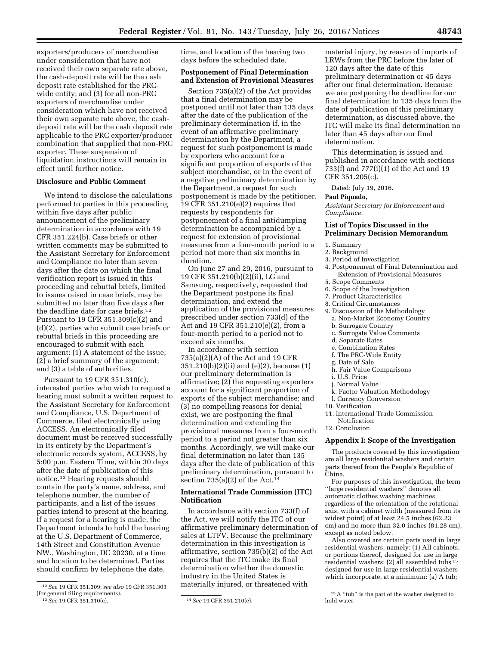exporters/producers of merchandise under consideration that have not received their own separate rate above, the cash-deposit rate will be the cash deposit rate established for the PRCwide entity; and (3) for all non-PRC exporters of merchandise under consideration which have not received their own separate rate above, the cashdeposit rate will be the cash deposit rate applicable to the PRC exporter/producer combination that supplied that non-PRC exporter. These suspension of liquidation instructions will remain in effect until further notice.

# **Disclosure and Public Comment**

We intend to disclose the calculations performed to parties in this proceeding within five days after public announcement of the preliminary determination in accordance with 19 CFR 351.224(b). Case briefs or other written comments may be submitted to the Assistant Secretary for Enforcement and Compliance no later than seven days after the date on which the final verification report is issued in this proceeding and rebuttal briefs, limited to issues raised in case briefs, may be submitted no later than five days after the deadline date for case briefs.12 Pursuant to 19 CFR 351.309(c)(2) and (d)(2), parties who submit case briefs or rebuttal briefs in this proceeding are encouraged to submit with each argument: (1) A statement of the issue; (2) a brief summary of the argument; and (3) a table of authorities.

Pursuant to 19 CFR 351.310(c), interested parties who wish to request a hearing must submit a written request to the Assistant Secretary for Enforcement and Compliance, U.S. Department of Commerce, filed electronically using ACCESS. An electronically filed document must be received successfully in its entirety by the Department's electronic records system, ACCESS, by 5:00 p.m. Eastern Time, within 30 days after the date of publication of this notice.13 Hearing requests should contain the party's name, address, and telephone number, the number of participants, and a list of the issues parties intend to present at the hearing. If a request for a hearing is made, the Department intends to hold the hearing at the U.S. Department of Commerce, 14th Street and Constitution Avenue NW., Washington, DC 20230, at a time and location to be determined. Parties should confirm by telephone the date,

13*See* 19 CFR 351.310(c). 14*See* 19 CFR 351.210(e).

time, and location of the hearing two days before the scheduled date.

# **Postponement of Final Determination and Extension of Provisional Measures**

Section 735(a)(2) of the Act provides that a final determination may be postponed until not later than 135 days after the date of the publication of the preliminary determination if, in the event of an affirmative preliminary determination by the Department, a request for such postponement is made by exporters who account for a significant proportion of exports of the subject merchandise, or in the event of a negative preliminary determination by the Department, a request for such postponement is made by the petitioner. 19 CFR 351.210(e)(2) requires that requests by respondents for postponement of a final antidumping determination be accompanied by a request for extension of provisional measures from a four-month period to a period not more than six months in duration.

On June 27 and 29, 2016, pursuant to 19 CFR 351.210(b)(2)(ii), LG and Samsung, respectively, requested that the Department postpone its final determination, and extend the application of the provisional measures prescribed under section 733(d) of the Act and 19 CFR 351.210(e)(2), from a four-month period to a period not to exceed six months.

In accordance with section 735(a)(2)(A) of the Act and 19 CFR 351.210(b)(2)(ii) and (e)(2), because (1) our preliminary determination is affirmative; (2) the requesting exporters account for a significant proportion of exports of the subject merchandise; and (3) no compelling reasons for denial exist, we are postponing the final determination and extending the provisional measures from a four-month period to a period not greater than six months. Accordingly, we will make our final determination no later than 135 days after the date of publication of this preliminary determination, pursuant to section  $735(a)(2)$  of the Act.<sup>14</sup>

# **International Trade Commission (ITC) Notification**

In accordance with section 733(f) of the Act, we will notify the ITC of our affirmative preliminary determination of sales at LTFV. Because the preliminary determination in this investigation is affirmative, section 735(b)(2) of the Act requires that the ITC make its final determination whether the domestic industry in the United States is materially injured, or threatened with

material injury, by reason of imports of LRWs from the PRC before the later of 120 days after the date of this preliminary determination or 45 days after our final determination. Because we are postponing the deadline for our final determination to 135 days from the date of publication of this preliminary determination, as discussed above, the ITC will make its final determination no later than 45 days after our final determination.

This determination is issued and published in accordance with sections 733(f) and 777(i)(1) of the Act and 19 CFR 351.205(c).

Dated: July 19, 2016.

### **Paul Piquado,**

*Assistant Secretary for Enforcement and Compliance.* 

# **List of Topics Discussed in the Preliminary Decision Memorandum**

- 1. Summary
- 2. Background
- 3. Period of Investigation
- 4. Postponement of Final Determination and Extension of Provisional Measures
- 5. Scope Comments
- 6. Scope of the Investigation
- 7. Product Characteristics
- 8. Critical Circumstances
- 9. Discussion of the Methodology a. Non-Market Economy Country
- b. Surrogate Country
- c. Surrogate Value Comments
- d. Separate Rates
- e. Combination Rates
- f. The PRC-Wide Entity
- g. Date of Sale
- h. Fair Value Comparisons
- i. U.S. Price
- j. Normal Value
- k. Factor Valuation Methodology
- l. Currency Conversion
- 10. Verification
- 11. International Trade Commission Notification
- 12. Conclusion

#### **Appendix I: Scope of the Investigation**

The products covered by this investigation are all large residential washers and certain parts thereof from the People's Republic of China.

For purposes of this investigation, the term ''large residential washers'' denotes all automatic clothes washing machines, regardless of the orientation of the rotational axis, with a cabinet width (measured from its widest point) of at least 24.5 inches (62.23 cm) and no more than 32.0 inches (81.28 cm), except as noted below.

Also covered are certain parts used in large residential washers, namely: (1) All cabinets, or portions thereof, designed for use in large residential washers; (2) all assembled tubs 15 designed for use in large residential washers which incorporate, at a minimum: (a) A tub;

<sup>12</sup>*See* 19 CFR 351.309; *see also* 19 CFR 351.303 (for general filing requirements).

<sup>15</sup>A ''tub'' is the part of the washer designed to hold water.